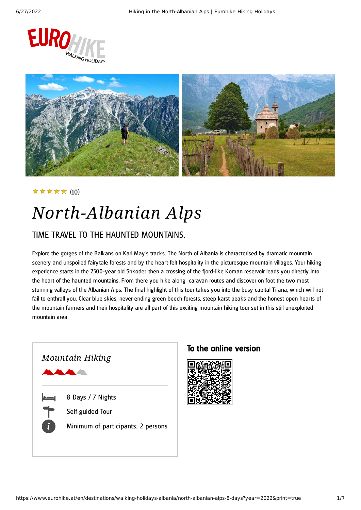



### (10) ★★★★★

# *North-Albanian Alps*

### TIME TRAVEL TO THE HAUNTED MOUNTAINS.

Explore the gorges of the Balkans on Karl May's tracks. The North of Albania is characterised by dramatic mountain scenery and unspoiled fairytale forests and by the heart-felt hospitality in the picturesque mountain villages. Your hiking experience starts in the 2500-year old Shkoder, then a crossing of the fjord-like Koman reservoir leads you directly into the heart of the haunted mountains. From there you hike along caravan routes and discover on foot the two most stunning valleys of the Albanian Alps. The final highlight of this tour takes you into the busy capital Tirana, which will not fail to enthrall you. Clear blue skies, never-ending green beech forests, steep karst peaks and the honest open hearts of the mountain farmers and their hospitality are all part of this exciting mountain hiking tour set in this still unexploited mountain area.



### To the online version

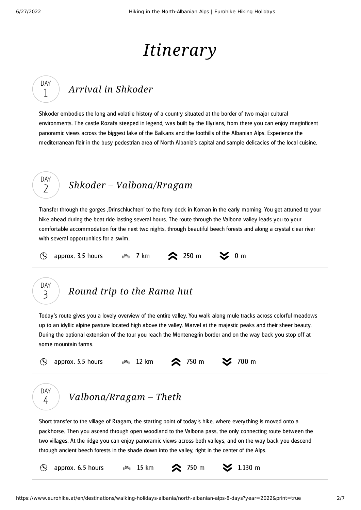DAY 1

DAY  $\overline{\phantom{a}}$ 

## *Itinerary*

### *Arrival in [Shkoder](#page-1-0)*

<span id="page-1-0"></span>Shkoder embodies the long and volatile history of a country situated at the border of two major cultural environments. The castle Rozafa steeped in legend, was built by the Illyrians, from there you can enjoy maginficent panoramic views across the biggest lake of the Balkans and the foothills of the Albanian Alps. Experience the mediterranean flair in the busy pedestrian area of North Albania's capital and sample delicacies of the local cuisine.

### *Shkoder – [Valbona/Rragam](#page-1-1)*

<span id="page-1-1"></span>Transfer through the gorges 'Drinschluchten' to the ferry dock in Koman in the early morning. You get attuned to your hike ahead during the boat ride lasting several hours. The route through the Valbona valley leads you to your comfortable accommodation for the next two nights, through beautiful beech forests and along a crystal clear river with several opportunities for a swim.

 $\mathcal{O}$ 

approx. 3.5 hours  $\lim_{m \to \infty}$  7 km  $\infty$  250 m  $\infty$  0 m



DAY 4

### *[Round](#page-1-2) trip to the Rama hut*

<span id="page-1-2"></span>Today's route gives you a lovely overview of the entire valley. You walk along mule tracks across colorful meadows up to an idyllic alpine pasture located high above the valley. Marvel at the majestic peaks and their sheer beauty. During the optional extension of the tour you reach the Montenegrin border and on the way back you stop off at some mountain farms.





<span id="page-1-3"></span>Short transfer to the village of Rragam, the starting point of today's hike, where everything is moved onto a packhorse. Then you ascend through open woodland to the Valbona pass, the only connecting route between the two villages. At the ridge you can enjoy panoramic views across both valleys, and on the way back you descend through ancient beech forests in the shade down into the valley, right in the center of the Alps.

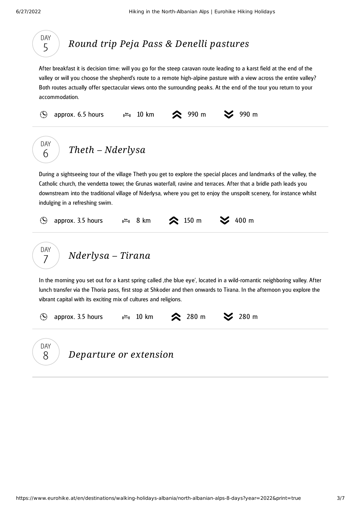<span id="page-2-0"></span>DAY

<span id="page-2-2"></span><span id="page-2-1"></span>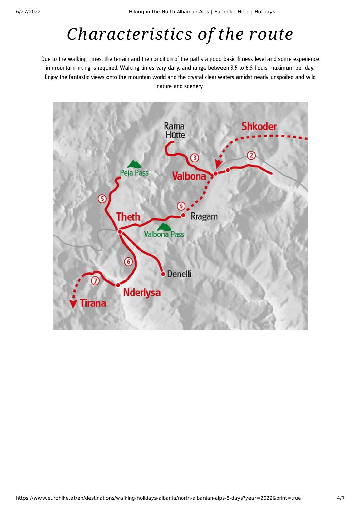# *Characteristics of the route*

Due to the walking times, the terrain and the condition of the paths a good basic fitness level and some experience in mountain hiking is required. Walking times vary daily, and range between 3.5 to 6.5 hours maximum per day. Enjoy the fantastic views onto the mountain world and the crystal clear waters amidst nearly unspoiled and wild nature and scenery.

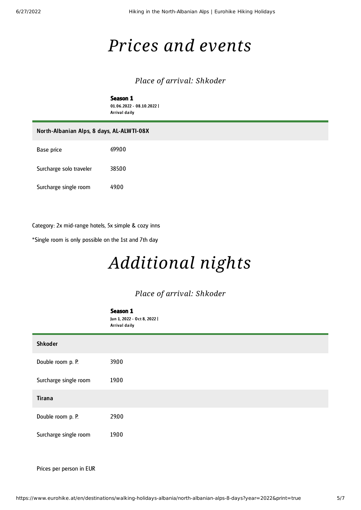## *Prices and events*

### *Place of arrival: Shkoder*

Season 1 01.06.2022 - 08.10.2022 | Arrival daily

| North-Albanian Alps, 8 days, AL-ALWTI-08X |        |
|-------------------------------------------|--------|
| Base price                                | 699.00 |
| Surcharge solo traveler                   | 385.00 |
| Surcharge single room                     | 49.00  |

Category: 2x mid-range hotels, 5x simple & cozy inns

\*Single room is only possible on the 1st and 7th day

# *Additional nights*

### *Place of arrival: Shkoder*

| Season 1<br>Jun 1, 2022 - Oct 8, 2022  <br>Arrival daily |
|----------------------------------------------------------|
|                                                          |
| 39.00                                                    |
| 19.00                                                    |
|                                                          |
| 29.00                                                    |
| 19.00                                                    |
|                                                          |

Prices per person in EUR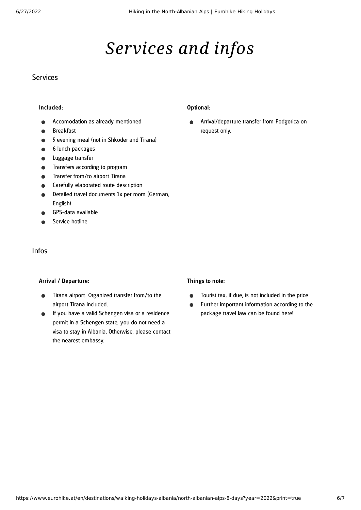## *Services and infos*

### Services

#### Included:

- Accomodation as already mentioned
- Breakfast
- 5 evening meal (not in Shkoder and Tirana)  $\bullet$
- 6 lunch packages
- Luggage transfer
- Transfers according to program  $\bullet$
- Transfer from/to airport Tirana
- Carefully elaborated route description
- Detailed travel documents 1x per room (German,  $\blacksquare$ English)
- GPS-data available
- Service hotline

### Infos

#### Arrival / Departure:

- Tirana airport. Organized transfer from/to the  $\bullet$ airport Tirana included.
- If you have a valid Schengen visa or a residence permit in a Schengen state, you do not need a visa to stay in Albania. Otherwise, please contact the nearest embassy.

#### Optional:

Arrival/departure transfer from Podgorica on  $\bullet$ request only.

#### Things to note:

- $\bullet$ Tourist tax, if due, is not included in the price
- Further important information according to the  $\bullet$ package travel law can be found [here](https://www.eurohike.at/en/travel-information/before-the-tour/pci)!